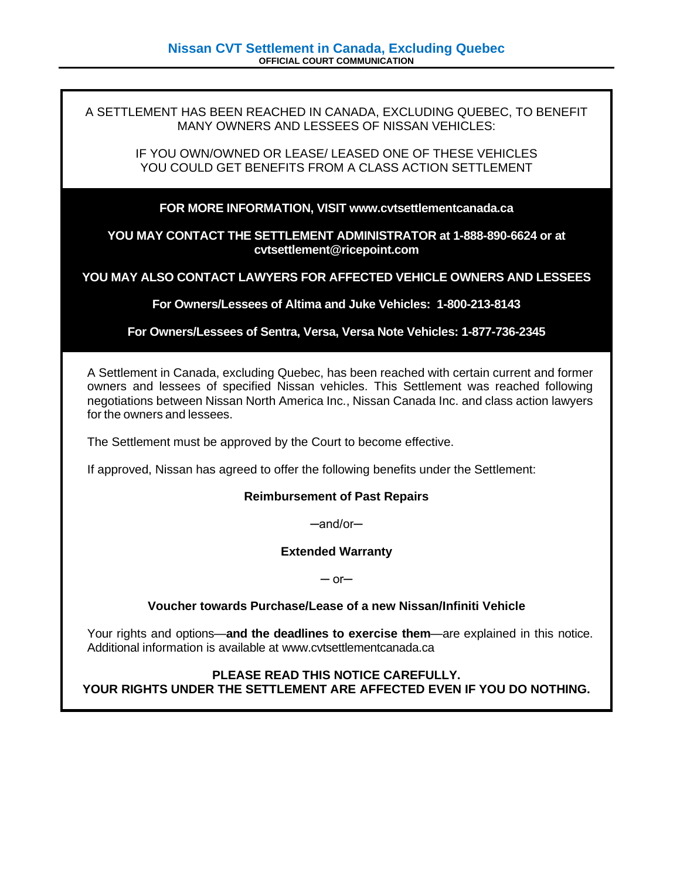A SETTLEMENT HAS BEEN REACHED IN CANADA, EXCLUDING QUEBEC, TO BENEFIT MANY OWNERS AND LESSEES OF NISSAN VEHICLES:

IF YOU OWN/OWNED OR LEASE/ LEASED ONE OF THESE VEHICLES YOU COULD GET BENEFITS FROM A CLASS ACTION SETTLEMENT

#### **FOR MORE INFORMATION, VISIT www.cvtsettlementcanada.ca**

**YOU MAY CONTACT THE SETTLEMENT ADMINISTRATOR at 1-888-890-6624 or at cvtsettlement@ricepoint.com**

**YOU MAY ALSO CONTACT LAWYERS FOR AFFECTED VEHICLE OWNERS AND LESSEES**

**For Owners/Lessees of Altima and Juke Vehicles: 1-800-213-8143**

**For Owners/Lessees of Sentra, Versa, Versa Note Vehicles: 1-877-736-2345**

A Settlement in Canada, excluding Quebec, has been reached with certain current and former owners and lessees of specified Nissan vehicles. This Settlement was reached following negotiations between Nissan North America Inc., Nissan Canada Inc. and class action lawyers for the owners and lessees.

The Settlement must be approved by the Court to become effective.

If approved, Nissan has agreed to offer the following benefits under the Settlement:

#### **Reimbursement of Past Repairs**

─and/or─

#### **Extended Warranty**

 $-$  or $-$ 

#### **Voucher towards Purchase/Lease of a new Nissan/Infiniti Vehicle**

Your rights and options—**and the deadlines to exercise them**—are explained in this notice. Additional information is available at www.cvtsettlementcanada.ca

### **PLEASE READ THIS NOTICE CAREFULLY. YOUR RIGHTS UNDER THE SETTLEMENT ARE AFFECTED EVEN IF YOU DO NOTHING.**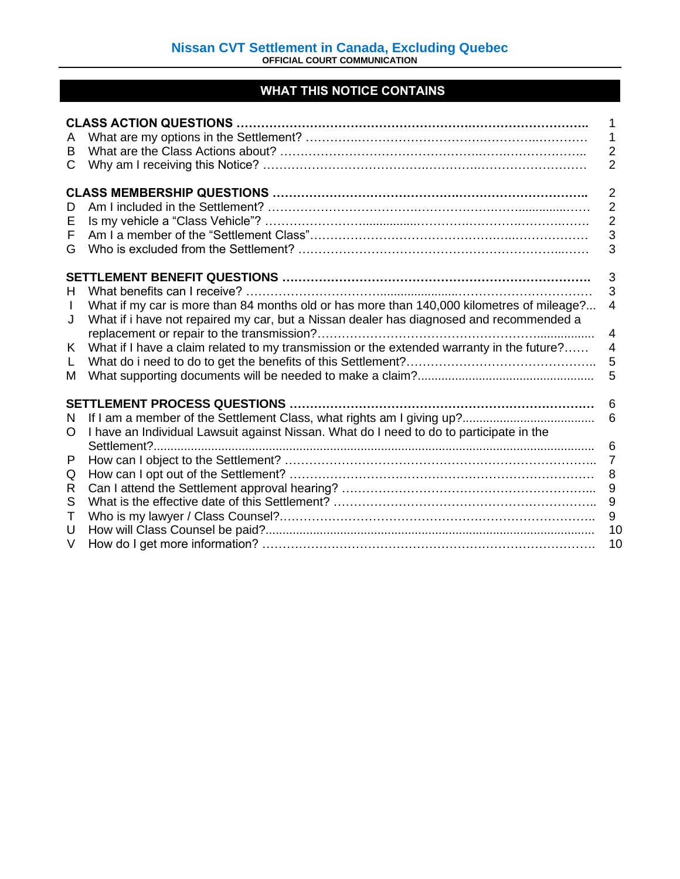# **WHAT THIS NOTICE CONTAINS**

| A<br>B<br>С                             |                                                                                                                                                                                                                                                                                   | 1<br>$\overline{2}$<br>$\overline{2}$                        |
|-----------------------------------------|-----------------------------------------------------------------------------------------------------------------------------------------------------------------------------------------------------------------------------------------------------------------------------------|--------------------------------------------------------------|
| D<br>E<br>F<br>G                        |                                                                                                                                                                                                                                                                                   | $\overline{2}$<br>$\overline{2}$<br>$\overline{2}$<br>3<br>3 |
| H.<br>$\mathbf{I}$<br>J<br>K.<br>L<br>М | What if my car is more than 84 months old or has more than 140,000 kilometres of mileage?<br>What if i have not repaired my car, but a Nissan dealer has diagnosed and recommended a<br>What if I have a claim related to my transmission or the extended warranty in the future? | 3<br>3<br>4<br>4<br>$\overline{4}$<br>5<br>5                 |
| N<br>O<br>P<br>Q<br>R<br>S<br>Τ<br>U    | <b>SETTLEMENT PROCESS QUESTIONS.</b><br>I have an Individual Lawsuit against Nissan. What do I need to do to participate in the<br>Settlement?                                                                                                                                    | 6<br>6<br>6<br>$\overline{7}$<br>8<br>9<br>9<br>$9\,$<br>10  |
| V                                       |                                                                                                                                                                                                                                                                                   | 10                                                           |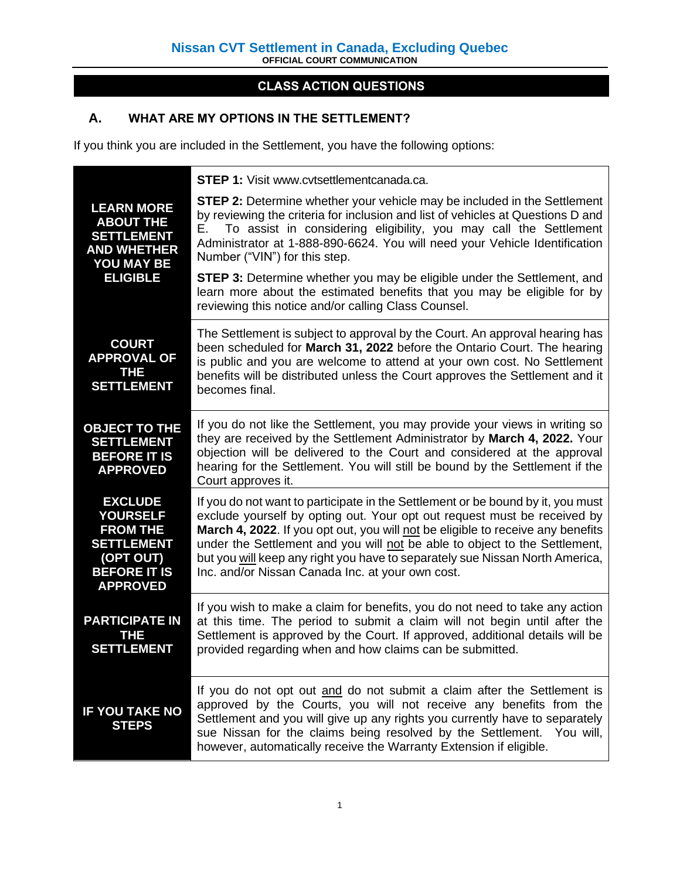# **CLASS ACTION QUESTIONS**

# **A. WHAT ARE MY OPTIONS IN THE SETTLEMENT?**

If you think you are included in the Settlement, you have the following options:

|                                                                                                                                  | STEP 1: Visit www.cvtsettlementcanada.ca.                                                                                                                                                                                                                                                                                                                                                                                                                        |
|----------------------------------------------------------------------------------------------------------------------------------|------------------------------------------------------------------------------------------------------------------------------------------------------------------------------------------------------------------------------------------------------------------------------------------------------------------------------------------------------------------------------------------------------------------------------------------------------------------|
| <b>LEARN MORE</b><br><b>ABOUT THE</b><br><b>SETTLEMENT</b><br><b>AND WHETHER</b><br>YOU MAY BE                                   | <b>STEP 2:</b> Determine whether your vehicle may be included in the Settlement<br>by reviewing the criteria for inclusion and list of vehicles at Questions D and<br>To assist in considering eligibility, you may call the Settlement<br>Е.<br>Administrator at 1-888-890-6624. You will need your Vehicle Identification<br>Number ("VIN") for this step.                                                                                                     |
| <b>ELIGIBLE</b>                                                                                                                  | <b>STEP 3:</b> Determine whether you may be eligible under the Settlement, and<br>learn more about the estimated benefits that you may be eligible for by<br>reviewing this notice and/or calling Class Counsel.                                                                                                                                                                                                                                                 |
| <b>COURT</b><br><b>APPROVAL OF</b><br>THE<br><b>SETTLEMENT</b>                                                                   | The Settlement is subject to approval by the Court. An approval hearing has<br>been scheduled for March 31, 2022 before the Ontario Court. The hearing<br>is public and you are welcome to attend at your own cost. No Settlement<br>benefits will be distributed unless the Court approves the Settlement and it<br>becomes final.                                                                                                                              |
| <b>OBJECT TO THE</b><br><b>SETTLEMENT</b><br><b>BEFORE IT IS</b><br><b>APPROVED</b>                                              | If you do not like the Settlement, you may provide your views in writing so<br>they are received by the Settlement Administrator by March 4, 2022. Your<br>objection will be delivered to the Court and considered at the approval<br>hearing for the Settlement. You will still be bound by the Settlement if the<br>Court approves it.                                                                                                                         |
| <b>EXCLUDE</b><br><b>YOURSELF</b><br><b>FROM THE</b><br><b>SETTLEMENT</b><br>(OPT OUT)<br><b>BEFORE IT IS</b><br><b>APPROVED</b> | If you do not want to participate in the Settlement or be bound by it, you must<br>exclude yourself by opting out. Your opt out request must be received by<br>March 4, 2022. If you opt out, you will not be eligible to receive any benefits<br>under the Settlement and you will not be able to object to the Settlement,<br>but you will keep any right you have to separately sue Nissan North America,<br>Inc. and/or Nissan Canada Inc. at your own cost. |
| <b>PARTICIPATE IN</b><br>THE<br><b>SETTLEMENT</b>                                                                                | If you wish to make a claim for benefits, you do not need to take any action<br>at this time. The period to submit a claim will not begin until after the<br>Settlement is approved by the Court. If approved, additional details will be<br>provided regarding when and how claims can be submitted.                                                                                                                                                            |
| <b>IF YOU TAKE NO</b><br><b>STEPS</b>                                                                                            | If you do not opt out and do not submit a claim after the Settlement is<br>approved by the Courts, you will not receive any benefits from the<br>Settlement and you will give up any rights you currently have to separately<br>sue Nissan for the claims being resolved by the Settlement. You will,<br>however, automatically receive the Warranty Extension if eligible.                                                                                      |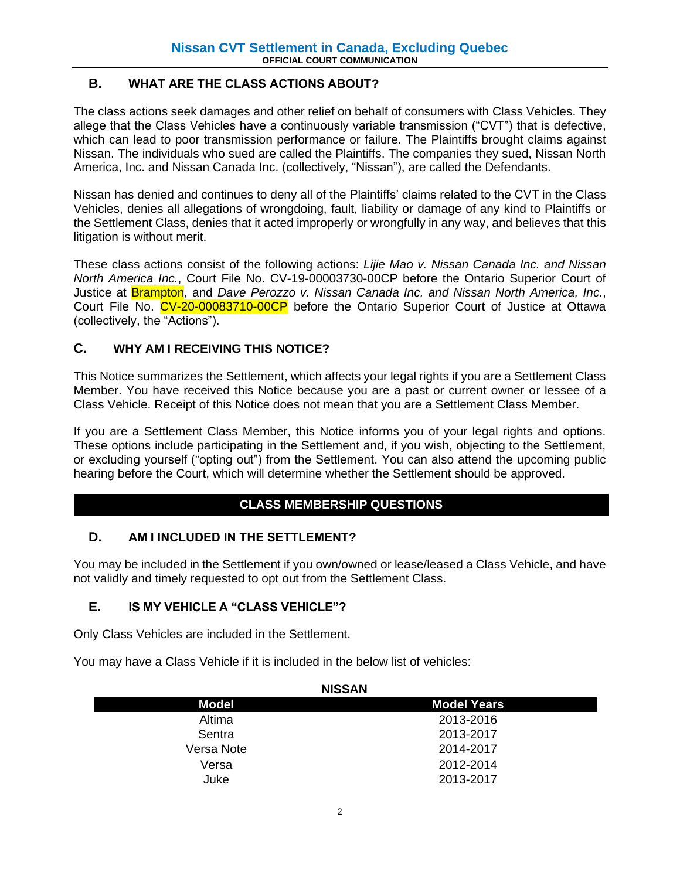## **B. WHAT ARE THE CLASS ACTIONS ABOUT?**

The class actions seek damages and other relief on behalf of consumers with Class Vehicles. They allege that the Class Vehicles have a continuously variable transmission ("CVT") that is defective, which can lead to poor transmission performance or failure. The Plaintiffs brought claims against Nissan. The individuals who sued are called the Plaintiffs. The companies they sued, Nissan North America, Inc. and Nissan Canada Inc. (collectively, "Nissan"), are called the Defendants.

Nissan has denied and continues to deny all of the Plaintiffs' claims related to the CVT in the Class Vehicles, denies all allegations of wrongdoing, fault, liability or damage of any kind to Plaintiffs or the Settlement Class, denies that it acted improperly or wrongfully in any way, and believes that this litigation is without merit.

These class actions consist of the following actions: *Lijie Mao v. Nissan Canada Inc. and Nissan North America Inc.*, Court File No. CV-19-00003730-00CP before the Ontario Superior Court of Justice at Brampton, and *Dave Perozzo v. Nissan Canada Inc. and Nissan North America, Inc.*, Court File No. CV-20-00083710-00CP before the Ontario Superior Court of Justice at Ottawa (collectively, the "Actions").

## **C. WHY AM I RECEIVING THIS NOTICE?**

This Notice summarizes the Settlement, which affects your legal rights if you are a Settlement Class Member. You have received this Notice because you are a past or current owner or lessee of a Class Vehicle. Receipt of this Notice does not mean that you are a Settlement Class Member.

If you are a Settlement Class Member, this Notice informs you of your legal rights and options. These options include participating in the Settlement and, if you wish, objecting to the Settlement, or excluding yourself ("opting out") from the Settlement. You can also attend the upcoming public hearing before the Court, which will determine whether the Settlement should be approved.

## **CLASS MEMBERSHIP QUESTIONS**

## **D. AM I INCLUDED IN THE SETTLEMENT?**

You may be included in the Settlement if you own/owned or lease/leased a Class Vehicle, and have not validly and timely requested to opt out from the Settlement Class.

## **E. IS MY VEHICLE A "CLASS VEHICLE"?**

Only Class Vehicles are included in the Settlement.

You may have a Class Vehicle if it is included in the below list of vehicles:

| <b>NISSAN</b> |  |  |  |  |
|---------------|--|--|--|--|
| Model Years   |  |  |  |  |
| 2013-2016     |  |  |  |  |
| 2013-2017     |  |  |  |  |
| 2014-2017     |  |  |  |  |
| 2012-2014     |  |  |  |  |
| 2013-2017     |  |  |  |  |
|               |  |  |  |  |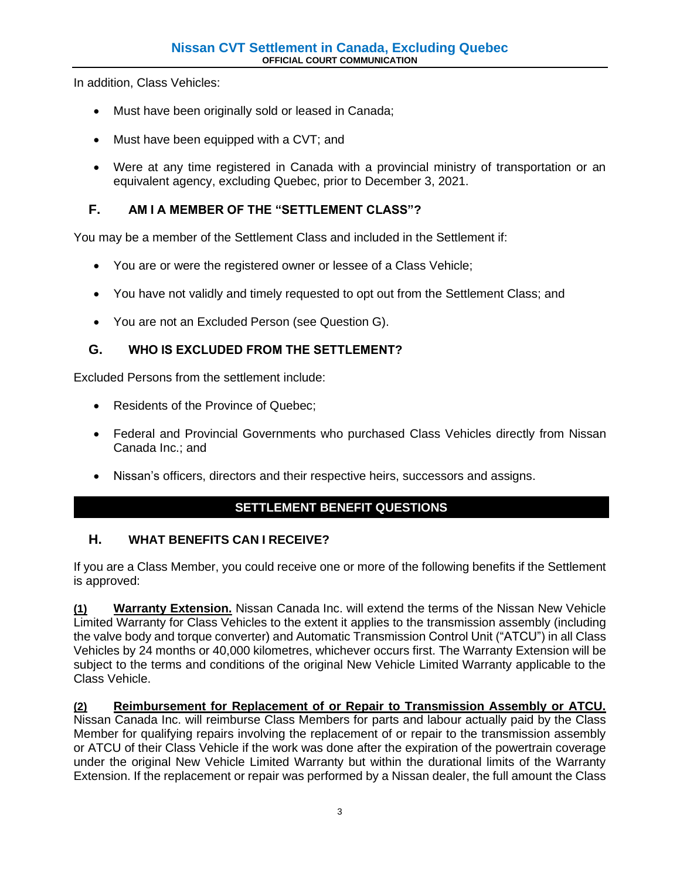In addition, Class Vehicles:

- Must have been originally sold or leased in Canada;
- Must have been equipped with a CVT; and
- Were at any time registered in Canada with a provincial ministry of transportation or an equivalent agency, excluding Quebec, prior to December 3, 2021.

## **F. AM I A MEMBER OF THE "SETTLEMENT CLASS"?**

You may be a member of the Settlement Class and included in the Settlement if:

- You are or were the registered owner or lessee of a Class Vehicle;
- You have not validly and timely requested to opt out from the Settlement Class; and
- You are not an Excluded Person (see Question G).

## **G. WHO IS EXCLUDED FROM THE SETTLEMENT?**

Excluded Persons from the settlement include:

- Residents of the Province of Quebec;
- Federal and Provincial Governments who purchased Class Vehicles directly from Nissan Canada Inc.; and
- Nissan's officers, directors and their respective heirs, successors and assigns.

## **SETTLEMENT BENEFIT QUESTIONS**

## **H. WHAT BENEFITS CAN I RECEIVE?**

If you are a Class Member, you could receive one or more of the following benefits if the Settlement is approved:

**(1) Warranty Extension.** Nissan Canada Inc. will extend the terms of the Nissan New Vehicle Limited Warranty for Class Vehicles to the extent it applies to the transmission assembly (including the valve body and torque converter) and Automatic Transmission Control Unit ("ATCU") in all Class Vehicles by 24 months or 40,000 kilometres, whichever occurs first. The Warranty Extension will be subject to the terms and conditions of the original New Vehicle Limited Warranty applicable to the Class Vehicle.

**(2) Reimbursement for Replacement of or Repair to Transmission Assembly or ATCU.** Nissan Canada Inc. will reimburse Class Members for parts and labour actually paid by the Class Member for qualifying repairs involving the replacement of or repair to the transmission assembly or ATCU of their Class Vehicle if the work was done after the expiration of the powertrain coverage under the original New Vehicle Limited Warranty but within the durational limits of the Warranty Extension. If the replacement or repair was performed by a Nissan dealer, the full amount the Class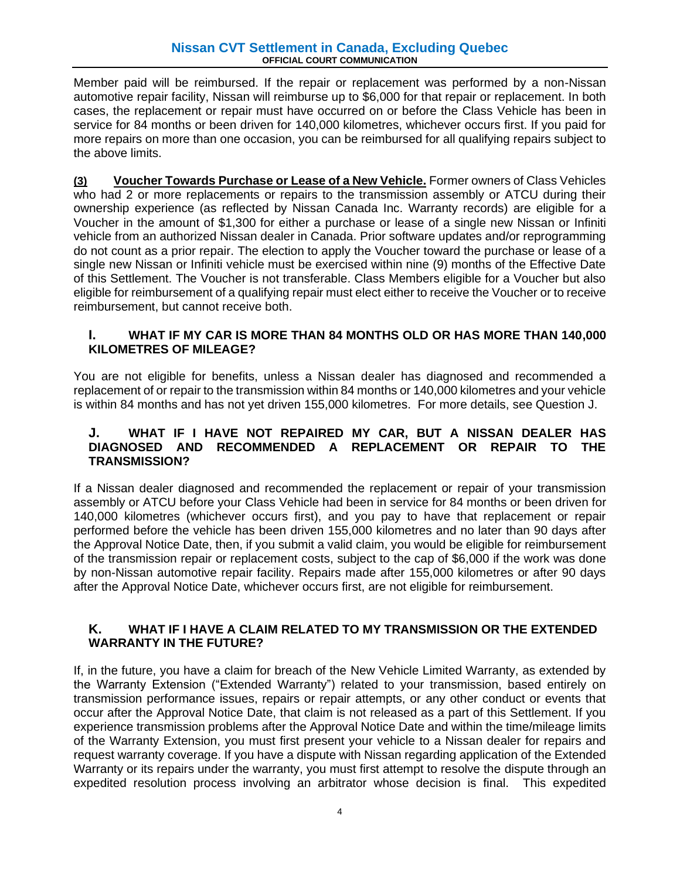Member paid will be reimbursed. If the repair or replacement was performed by a non-Nissan automotive repair facility, Nissan will reimburse up to \$6,000 for that repair or replacement. In both cases, the replacement or repair must have occurred on or before the Class Vehicle has been in service for 84 months or been driven for 140,000 kilometres, whichever occurs first. If you paid for more repairs on more than one occasion, you can be reimbursed for all qualifying repairs subject to the above limits.

**(3) Voucher Towards Purchase or Lease of a New Vehicle.** Former owners of Class Vehicles who had 2 or more replacements or repairs to the transmission assembly or ATCU during their ownership experience (as reflected by Nissan Canada Inc. Warranty records) are eligible for a Voucher in the amount of \$1,300 for either a purchase or lease of a single new Nissan or Infiniti vehicle from an authorized Nissan dealer in Canada. Prior software updates and/or reprogramming do not count as a prior repair. The election to apply the Voucher toward the purchase or lease of a single new Nissan or Infiniti vehicle must be exercised within nine (9) months of the Effective Date of this Settlement. The Voucher is not transferable. Class Members eligible for a Voucher but also eligible for reimbursement of a qualifying repair must elect either to receive the Voucher or to receive reimbursement, but cannot receive both.

#### **I. WHAT IF MY CAR IS MORE THAN 84 MONTHS OLD OR HAS MORE THAN 140,000 KILOMETRES OF MILEAGE?**

You are not eligible for benefits, unless a Nissan dealer has diagnosed and recommended a replacement of or repair to the transmission within 84 months or 140,000 kilometres and your vehicle is within 84 months and has not yet driven 155,000 kilometres. For more details, see Question J.

#### **J. WHAT IF I HAVE NOT REPAIRED MY CAR, BUT A NISSAN DEALER HAS DIAGNOSED AND RECOMMENDED A REPLACEMENT OR REPAIR TO THE TRANSMISSION?**

If a Nissan dealer diagnosed and recommended the replacement or repair of your transmission assembly or ATCU before your Class Vehicle had been in service for 84 months or been driven for 140,000 kilometres (whichever occurs first), and you pay to have that replacement or repair performed before the vehicle has been driven 155,000 kilometres and no later than 90 days after the Approval Notice Date, then, if you submit a valid claim, you would be eligible for reimbursement of the transmission repair or replacement costs, subject to the cap of \$6,000 if the work was done by non-Nissan automotive repair facility. Repairs made after 155,000 kilometres or after 90 days after the Approval Notice Date, whichever occurs first, are not eligible for reimbursement.

### **K. WHAT IF I HAVE A CLAIM RELATED TO MY TRANSMISSION OR THE EXTENDED WARRANTY IN THE FUTURE?**

If, in the future, you have a claim for breach of the New Vehicle Limited Warranty, as extended by the Warranty Extension ("Extended Warranty") related to your transmission, based entirely on transmission performance issues, repairs or repair attempts, or any other conduct or events that occur after the Approval Notice Date, that claim is not released as a part of this Settlement. If you experience transmission problems after the Approval Notice Date and within the time/mileage limits of the Warranty Extension, you must first present your vehicle to a Nissan dealer for repairs and request warranty coverage. If you have a dispute with Nissan regarding application of the Extended Warranty or its repairs under the warranty, you must first attempt to resolve the dispute through an expedited resolution process involving an arbitrator whose decision is final. This expedited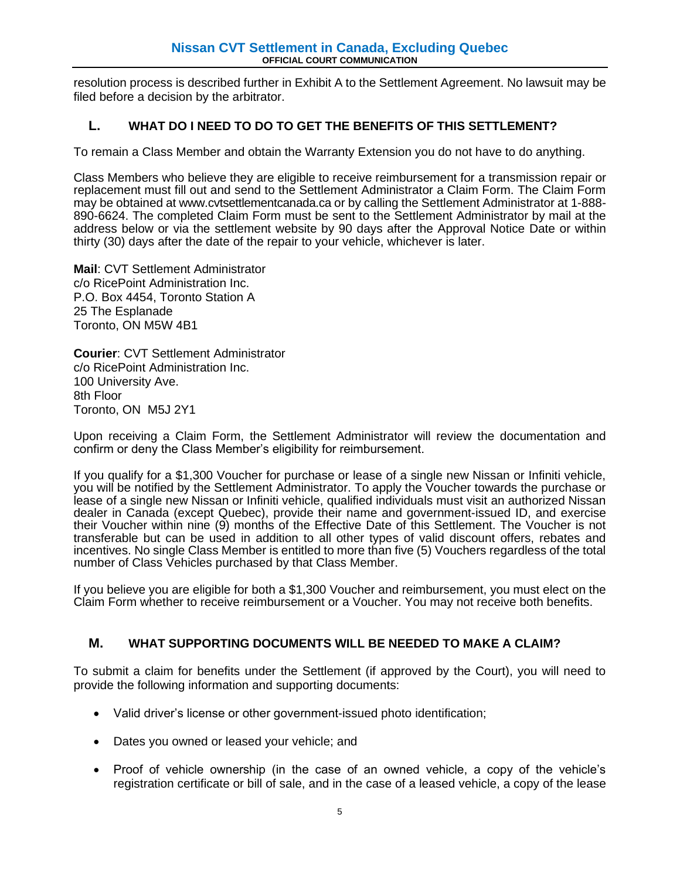resolution process is described further in Exhibit A to the Settlement Agreement. No lawsuit may be filed before a decision by the arbitrator.

### **L. WHAT DO I NEED TO DO TO GET THE BENEFITS OF THIS SETTLEMENT?**

To remain a Class Member and obtain the Warranty Extension you do not have to do anything.

Class Members who believe they are eligible to receive reimbursement for a transmission repair or replacement must fill out and send to the Settlement Administrator a Claim Form. The Claim Form may be obtained at www.cvtsettlementcanada.ca or by calling the Settlement Administrator at 1-888- 890-6624. The completed Claim Form must be sent to the Settlement Administrator by mail at the address below or via the settlement website by 90 days after the Approval Notice Date or within thirty (30) days after the date of the repair to your vehicle, whichever is later.

**Mail**: CVT Settlement Administrator c/o RicePoint Administration Inc. P.O. Box 4454, Toronto Station A 25 The Esplanade Toronto, ON M5W 4B1

**Courier**: CVT Settlement Administrator c/o RicePoint Administration Inc. 100 University Ave. 8th Floor Toronto, ON M5J 2Y1

Upon receiving a Claim Form, the Settlement Administrator will review the documentation and confirm or deny the Class Member's eligibility for reimbursement.

If you qualify for a \$1,300 Voucher for purchase or lease of a single new Nissan or Infiniti vehicle, you will be notified by the Settlement Administrator. To apply the Voucher towards the purchase or lease of a single new Nissan or Infiniti vehicle, qualified individuals must visit an authorized Nissan dealer in Canada (except Quebec), provide their name and government-issued ID, and exercise their Voucher within nine (9) months of the Effective Date of this Settlement. The Voucher is not transferable but can be used in addition to all other types of valid discount offers, rebates and incentives. No single Class Member is entitled to more than five (5) Vouchers regardless of the total number of Class Vehicles purchased by that Class Member.

If you believe you are eligible for both a \$1,300 Voucher and reimbursement, you must elect on the Claim Form whether to receive reimbursement or a Voucher. You may not receive both benefits.

## **M. WHAT SUPPORTING DOCUMENTS WILL BE NEEDED TO MAKE A CLAIM?**

To submit a claim for benefits under the Settlement (if approved by the Court), you will need to provide the following information and supporting documents:

- Valid driver's license or other government-issued photo identification;
- Dates you owned or leased your vehicle; and
- Proof of vehicle ownership (in the case of an owned vehicle, a copy of the vehicle's registration certificate or bill of sale, and in the case of a leased vehicle, a copy of the lease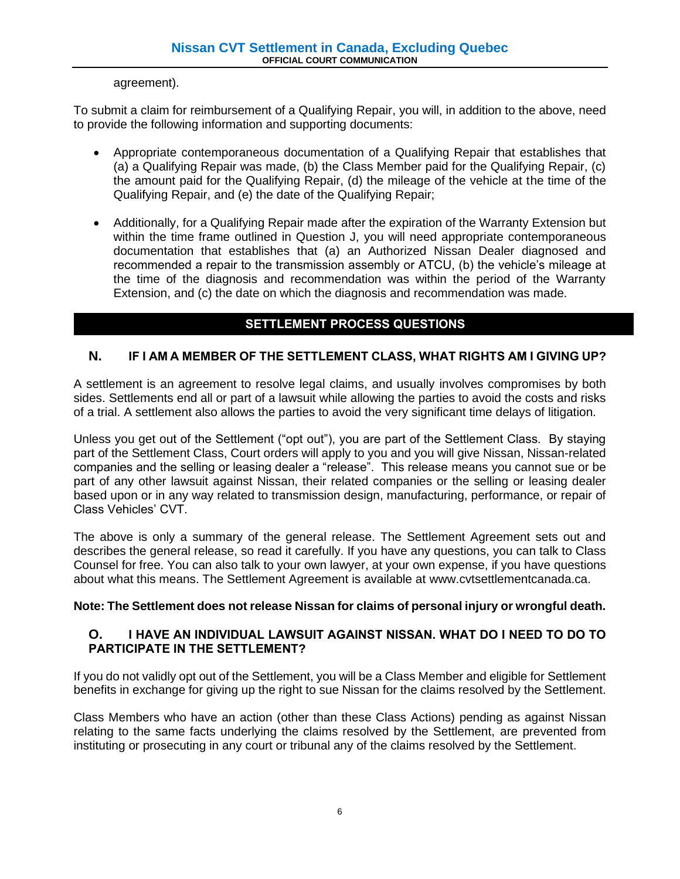agreement).

To submit a claim for reimbursement of a Qualifying Repair, you will, in addition to the above, need to provide the following information and supporting documents:

- Appropriate contemporaneous documentation of a Qualifying Repair that establishes that (a) a Qualifying Repair was made, (b) the Class Member paid for the Qualifying Repair, (c) the amount paid for the Qualifying Repair, (d) the mileage of the vehicle at the time of the Qualifying Repair, and (e) the date of the Qualifying Repair;
- Additionally, for a Qualifying Repair made after the expiration of the Warranty Extension but within the time frame outlined in Question J, you will need appropriate contemporaneous documentation that establishes that (a) an Authorized Nissan Dealer diagnosed and recommended a repair to the transmission assembly or ATCU, (b) the vehicle's mileage at the time of the diagnosis and recommendation was within the period of the Warranty Extension, and (c) the date on which the diagnosis and recommendation was made.

## **SETTLEMENT PROCESS QUESTIONS**

## **N. IF I AM A MEMBER OF THE SETTLEMENT CLASS, WHAT RIGHTS AM I GIVING UP?**

A settlement is an agreement to resolve legal claims, and usually involves compromises by both sides. Settlements end all or part of a lawsuit while allowing the parties to avoid the costs and risks of a trial. A settlement also allows the parties to avoid the very significant time delays of litigation.

Unless you get out of the Settlement ("opt out"), you are part of the Settlement Class. By staying part of the Settlement Class, Court orders will apply to you and you will give Nissan, Nissan-related companies and the selling or leasing dealer a "release". This release means you cannot sue or be part of any other lawsuit against Nissan, their related companies or the selling or leasing dealer based upon or in any way related to transmission design, manufacturing, performance, or repair of Class Vehicles' CVT.

The above is only a summary of the general release. The Settlement Agreement sets out and describes the general release, so read it carefully. If you have any questions, you can talk to Class Counsel for free. You can also talk to your own lawyer, at your own expense, if you have questions about what this means. The Settlement Agreement is available at www.cvtsettlementcanada.ca.

## **Note: The Settlement does not release Nissan for claims of personal injury or wrongful death.**

### **O. I HAVE AN INDIVIDUAL LAWSUIT AGAINST NISSAN. WHAT DO I NEED TO DO TO PARTICIPATE IN THE SETTLEMENT?**

If you do not validly opt out of the Settlement, you will be a Class Member and eligible for Settlement benefits in exchange for giving up the right to sue Nissan for the claims resolved by the Settlement.

Class Members who have an action (other than these Class Actions) pending as against Nissan relating to the same facts underlying the claims resolved by the Settlement, are prevented from instituting or prosecuting in any court or tribunal any of the claims resolved by the Settlement.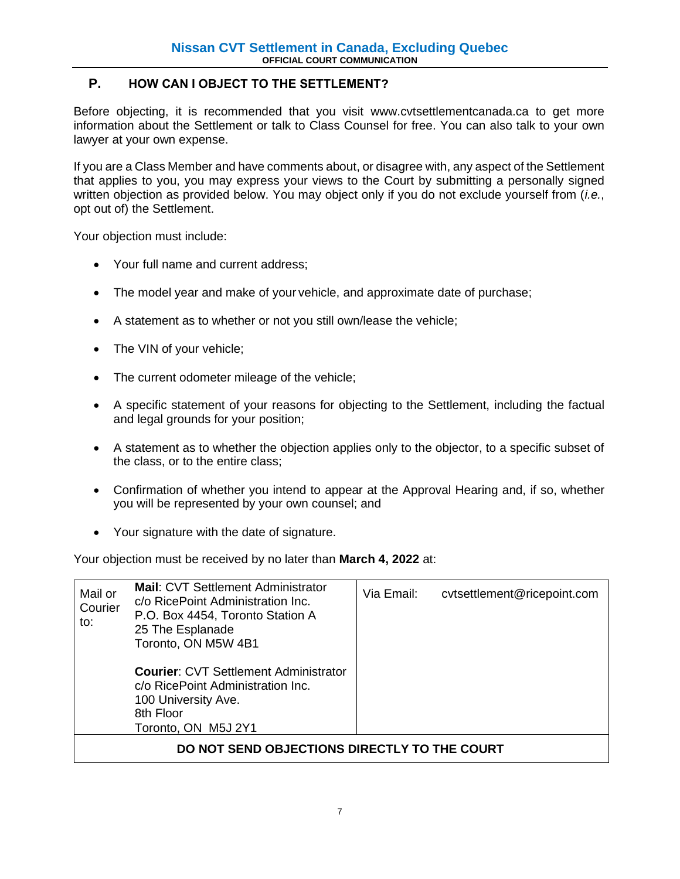## **P. HOW CAN I OBJECT TO THE SETTLEMENT?**

Before objecting, it is recommended that you visit www.cvtsettlementcanada.ca to get more information about the Settlement or talk to Class Counsel for free. You can also talk to your own lawyer at your own expense.

If you are a Class Member and have comments about, or disagree with, any aspect of the Settlement that applies to you, you may express your views to the Court by submitting a personally signed written objection as provided below. You may object only if you do not exclude yourself from (*i.e.*, opt out of) the Settlement.

Your objection must include:

- Your full name and current address;
- The model year and make of your vehicle, and approximate date of purchase;
- A statement as to whether or not you still own/lease the vehicle;
- The VIN of your vehicle;
- The current odometer mileage of the vehicle;
- A specific statement of your reasons for objecting to the Settlement, including the factual and legal grounds for your position;
- A statement as to whether the objection applies only to the objector, to a specific subset of the class, or to the entire class;
- Confirmation of whether you intend to appear at the Approval Hearing and, if so, whether you will be represented by your own counsel; and
- Your signature with the date of signature.

Your objection must be received by no later than **March 4, 2022** at:

| Mail or<br>Courier<br>to:                    | <b>Mail: CVT Settlement Administrator</b><br>c/o RicePoint Administration Inc.<br>P.O. Box 4454, Toronto Station A<br>25 The Esplanade<br>Toronto, ON M5W 4B1 | Via Email: | cytsettlement@ricepoint.com |  |  |
|----------------------------------------------|---------------------------------------------------------------------------------------------------------------------------------------------------------------|------------|-----------------------------|--|--|
|                                              | <b>Courier: CVT Settlement Administrator</b><br>c/o RicePoint Administration Inc.<br>100 University Ave.<br>8th Floor<br>Toronto, ON M5J 2Y1                  |            |                             |  |  |
| DO NOT SEND OBJECTIONS DIRECTLY TO THE COURT |                                                                                                                                                               |            |                             |  |  |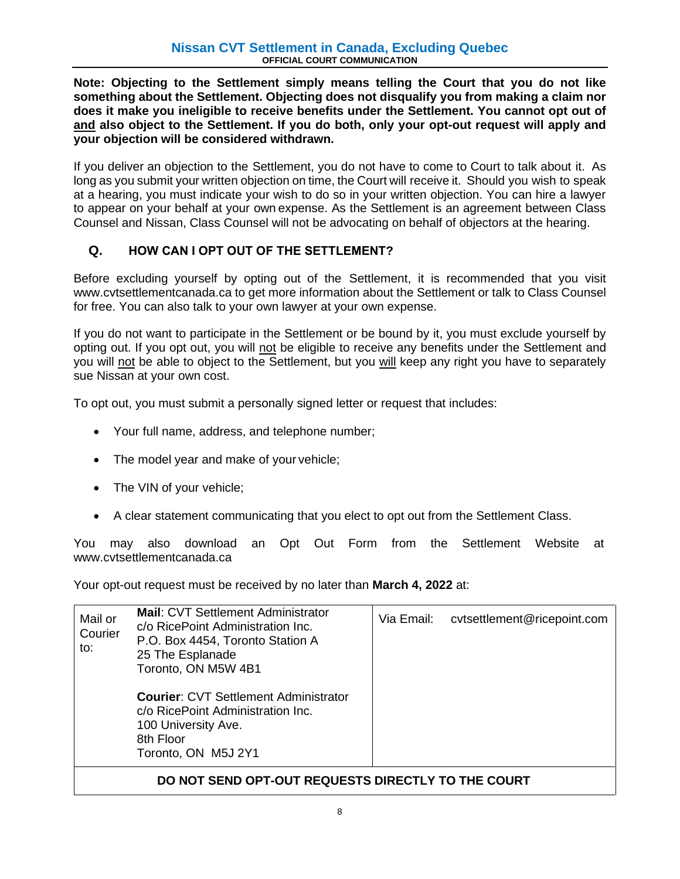**Note: Objecting to the Settlement simply means telling the Court that you do not like something about the Settlement. Objecting does not disqualify you from making a claim nor does it make you ineligible to receive benefits under the Settlement. You cannot opt out of and also object to the Settlement. If you do both, only your opt-out request will apply and your objection will be considered withdrawn.**

If you deliver an objection to the Settlement, you do not have to come to Court to talk about it. As long as you submit your written objection on time, the Court will receive it. Should you wish to speak at a hearing, you must indicate your wish to do so in your written objection. You can hire a lawyer to appear on your behalf at your own expense. As the Settlement is an agreement between Class Counsel and Nissan, Class Counsel will not be advocating on behalf of objectors at the hearing.

## **Q. HOW CAN I OPT OUT OF THE SETTLEMENT?**

Before excluding yourself by opting out of the Settlement, it is recommended that you visit www.cvtsettlementcanada.ca to get more information about the Settlement or talk to Class Counsel for free. You can also talk to your own lawyer at your own expense.

If you do not want to participate in the Settlement or be bound by it, you must exclude yourself by opting out. If you opt out, you will not be eligible to receive any benefits under the Settlement and you will not be able to object to the Settlement, but you will keep any right you have to separately sue Nissan at your own cost.

To opt out, you must submit a personally signed letter or request that includes:

- Your full name, address, and telephone number;
- The model year and make of your vehicle;
- The VIN of your vehicle;
- A clear statement communicating that you elect to opt out from the Settlement Class.

You may also download an Opt Out Form from the Settlement Website at www.cvtsettlementcanada.ca

Your opt-out request must be received by no later than **March 4, 2022** at:

| Mail or<br>Courier<br>to: | <b>Mail: CVT Settlement Administrator</b><br>c/o RicePoint Administration Inc.<br>P.O. Box 4454, Toronto Station A<br>25 The Esplanade<br>Toronto, ON M5W 4B1<br><b>Courier: CVT Settlement Administrator</b><br>c/o RicePoint Administration Inc.<br>100 University Ave. | Via Email: | cytsettlement@ricepoint.com |  |  |
|---------------------------|---------------------------------------------------------------------------------------------------------------------------------------------------------------------------------------------------------------------------------------------------------------------------|------------|-----------------------------|--|--|
|                           | 8th Floor<br>Toronto, ON M5J 2Y1                                                                                                                                                                                                                                          |            |                             |  |  |
|                           |                                                                                                                                                                                                                                                                           |            |                             |  |  |

## **DO NOT SEND OPT-OUT REQUESTS DIRECTLY TO THE COURT**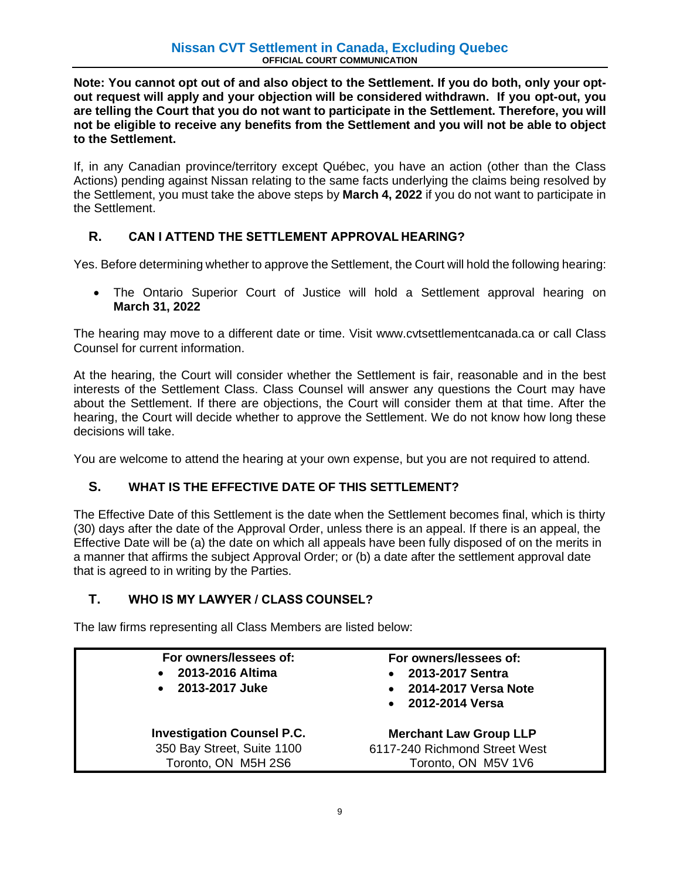**Note: You cannot opt out of and also object to the Settlement. If you do both, only your optout request will apply and your objection will be considered withdrawn. If you opt-out, you are telling the Court that you do not want to participate in the Settlement. Therefore, you will not be eligible to receive any benefits from the Settlement and you will not be able to object to the Settlement.**

If, in any Canadian province/territory except Québec, you have an action (other than the Class Actions) pending against Nissan relating to the same facts underlying the claims being resolved by the Settlement, you must take the above steps by **March 4, 2022** if you do not want to participate in the Settlement.

## **R. CAN I ATTEND THE SETTLEMENT APPROVAL HEARING?**

Yes. Before determining whether to approve the Settlement, the Court will hold the following hearing:

• The Ontario Superior Court of Justice will hold a Settlement approval hearing on **March 31, 2022**

The hearing may move to a different date or time. Visit www.cvtsettlementcanada.ca or call Class Counsel for current information.

At the hearing, the Court will consider whether the Settlement is fair, reasonable and in the best interests of the Settlement Class. Class Counsel will answer any questions the Court may have about the Settlement. If there are objections, the Court will consider them at that time. After the hearing, the Court will decide whether to approve the Settlement. We do not know how long these decisions will take.

You are welcome to attend the hearing at your own expense, but you are not required to attend.

## **S. WHAT IS THE EFFECTIVE DATE OF THIS SETTLEMENT?**

The Effective Date of this Settlement is the date when the Settlement becomes final, which is thirty (30) days after the date of the Approval Order, unless there is an appeal. If there is an appeal, the Effective Date will be (a) the date on which all appeals have been fully disposed of on the merits in a manner that affirms the subject Approval Order; or (b) a date after the settlement approval date that is agreed to in writing by the Parties.

## **T. WHO IS MY LAWYER / CLASS COUNSEL?**

The law firms representing all Class Members are listed below:

| For owners/lessees of:<br>2013-2016 Altima<br>$\bullet$<br>2013-2017 Juke<br>$\bullet$ | For owners/lessees of:<br>2013-2017 Sentra<br>• 2014-2017 Versa Note<br>• 2012-2014 Versa |
|----------------------------------------------------------------------------------------|-------------------------------------------------------------------------------------------|
| <b>Investigation Counsel P.C.</b>                                                      | <b>Merchant Law Group LLP</b>                                                             |
| 350 Bay Street, Suite 1100                                                             | 6117-240 Richmond Street West                                                             |
| Toronto, ON M5H 2S6                                                                    | Toronto, ON M5V 1V6                                                                       |